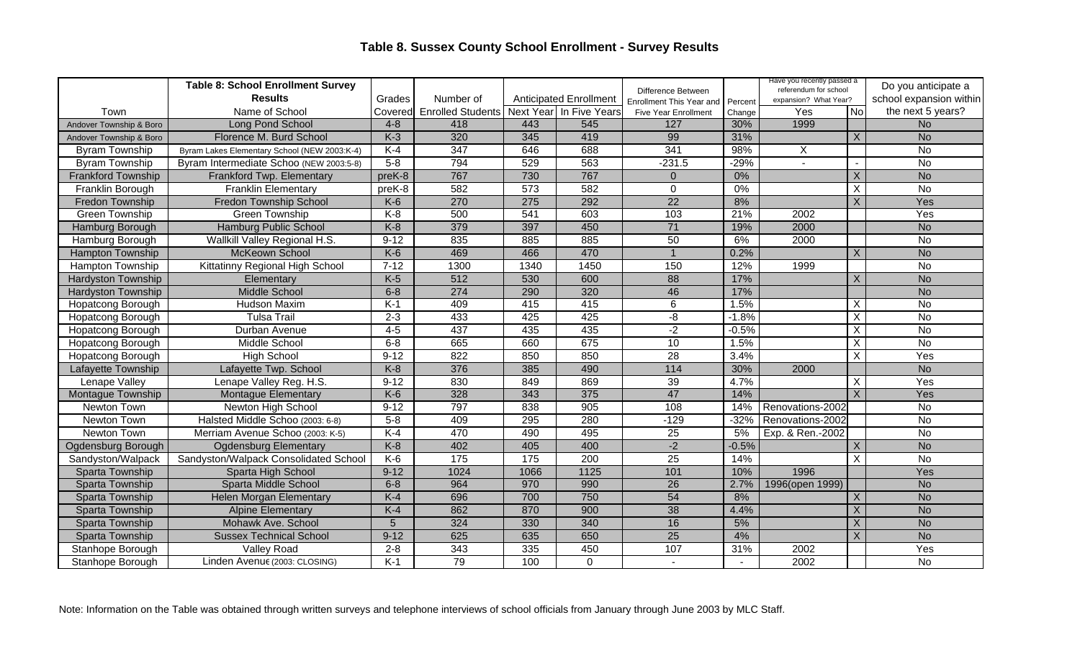## **Table 8. Sussex County School Enrollment - Survey Results**

|                           | <b>Table 8: School Enrollment Survey</b>     |                |                          |                 |                               | Difference Between          |         | Have you recently passed a<br>referendum for school |                         | Do you anticipate a     |
|---------------------------|----------------------------------------------|----------------|--------------------------|-----------------|-------------------------------|-----------------------------|---------|-----------------------------------------------------|-------------------------|-------------------------|
|                           | <b>Results</b>                               | Grades         | Number of                |                 | <b>Anticipated Enrollment</b> | Enrollment This Year and    | Percent | expansion? What Year?                               |                         | school expansion within |
| Town                      | Name of School                               | Covered        | <b>Enrolled Students</b> |                 | Next Year In Five Years       | <b>Five Year Enrollment</b> | Change  | Yes                                                 | No                      | the next 5 years?       |
| Andover Township & Boro   | Long Pond School                             | $4 - 8$        | 418                      | 443             | 545                           | 127                         | 30%     | 1999                                                |                         | <b>No</b>               |
| Andover Township & Boro   | Florence M. Burd School                      | $K-3$          | 320                      | 345             | 419                           | 99                          | 31%     |                                                     | X                       | <b>No</b>               |
| <b>Byram Township</b>     | Byram Lakes Elementary School (NEW 2003:K-4) | $K-4$          | $\frac{1}{347}$          | 646             | 688                           | 341                         | 98%     | X                                                   |                         | <b>No</b>               |
| <b>Byram Township</b>     | Byram Intermediate Schoo (NEW 2003:5-8)      | $5-8$          | 794                      | 529             | 563                           | $-231.5$                    | $-29%$  | $\sim$                                              |                         | $\overline{N}$          |
| <b>Frankford Township</b> | Frankford Twp. Elementary                    | preK-8         | 767                      | 730             | 767                           | $\overline{0}$              | $0\%$   |                                                     | $\times$                | <b>No</b>               |
| Franklin Borough          | <b>Franklin Elementary</b>                   | preK-8         | 582                      | 573             | 582                           | $\Omega$                    | $0\%$   |                                                     | X                       | $\overline{N}$          |
| Fredon Township           | <b>Fredon Township School</b>                | $K-6$          | 270                      | 275             | 292                           | $\overline{22}$             | 8%      |                                                     | X                       | Yes                     |
| <b>Green Township</b>     | <b>Green Township</b>                        | $K-8$          | 500                      | 541             | 603                           | 103                         | 21%     | 2002                                                |                         | Yes                     |
| Hamburg Borough           | Hamburg Public School                        | $K-8$          | 379                      | 397             | 450                           | $\overline{71}$             | 19%     | 2000                                                |                         | <b>No</b>               |
| Hamburg Borough           | Wallkill Valley Regional H.S.                | $9 - 12$       | 835                      | 885             | 885                           | 50                          | 6%      | 2000                                                |                         | No                      |
| <b>Hampton Township</b>   | McKeown School                               | $K-6$          | 469                      | 466             | 470                           |                             | 0.2%    |                                                     | Χ                       | <b>No</b>               |
| <b>Hampton Township</b>   | Kittatinny Regional High School              | $7 - 12$       | 1300                     | 1340            | 1450                          | 150                         | 12%     | 1999                                                |                         | $\overline{N}$          |
| <b>Hardyston Township</b> | Elementary                                   | $K-5$          | 512                      | 530             | 600                           | 88                          | 17%     |                                                     | Χ                       | <b>No</b>               |
| <b>Hardyston Township</b> | <b>Middle School</b>                         | $6 - 8$        | 274                      | 290             | 320                           | 46                          | 17%     |                                                     |                         | <b>No</b>               |
| Hopatcong Borough         | Hudson Maxim                                 | $K-1$          | 409                      | 415             | 415                           | 6                           | 1.5%    |                                                     | X                       | <b>No</b>               |
| <b>Hopatcong Borough</b>  | <b>Tulsa Trail</b>                           | $2 - 3$        | 433                      | 425             | 425                           | $-\frac{1}{\alpha}$         | $-1.8%$ |                                                     | $\overline{\mathsf{X}}$ | $\overline{N}$          |
| Hopatcong Borough         | Durban Avenue                                | $4-5$          | 437                      | 435             | 435                           | $-2$                        | $-0.5%$ |                                                     | X                       | $\overline{N}$          |
| <b>Hopatcong Borough</b>  | Middle School                                | $6 - 8$        | 665                      | 660             | 675                           | $\overline{10}$             | 1.5%    |                                                     | X                       | <b>No</b>               |
| <b>Hopatcong Borough</b>  | <b>High School</b>                           | $9 - 12$       | 822                      | 850             | 850                           | 28                          | 3.4%    |                                                     | X                       | Yes                     |
| Lafayette Township        | Lafayette Twp. School                        | $K-8$          | 376                      | 385             | 490                           | $114$                       | 30%     | 2000                                                |                         | <b>No</b>               |
| Lenape Valley             | Lenape Valley Reg. H.S.                      | $9 - 12$       | 830                      | 849             | 869                           | 39                          | 4.7%    |                                                     | X                       | Yes                     |
| <b>Montague Township</b>  | Montague Elementary                          | $K-6$          | 328                      | 343             | 375                           | 47                          | 14%     |                                                     | $\times$                | Yes                     |
| Newton Town               | Newton High School                           | $9 - 12$       | 797                      | 838             | 905                           | 108                         | 14%     | Renovations-2002                                    |                         | <b>No</b>               |
| Newton Town               | Halsted Middle Schoo (2003: 6-8)             | $5-8$          | 409                      | 295             | 280                           | $-129$                      | $-32%$  | Renovations-2002                                    |                         | $\overline{N}$          |
| Newton Town               | Merriam Avenue Schoo (2003: K-5)             | $K-4$          | 470                      | 490             | 495                           | $\overline{25}$             | 5%      | Exp. & Ren.-2002                                    |                         | $\overline{N}$          |
| Ogdensburg Borough        | <b>Ogdensburg Elementary</b>                 | $K-8$          | 402                      | 405             | 400                           | $-2$                        | $-0.5%$ |                                                     | X                       | <b>No</b>               |
| Sandyston/Walpack         | Sandyston/Walpack Consolidated School        | $K-6$          | $\frac{175}{2}$          | $\frac{175}{2}$ | $\overline{200}$              | $\overline{25}$             | 14%     |                                                     | X                       | $\overline{N}$          |
| Sparta Township           | Sparta High School                           | $9 - 12$       | 1024                     | 1066            | 1125                          | 101                         | 10%     | 1996                                                |                         | Yes                     |
| Sparta Township           | Sparta Middle School                         | $6 - 8$        | 964                      | 970             | 990                           | $\overline{26}$             | 2.7%    | 1996(open 1999)                                     |                         | <b>No</b>               |
| Sparta Township           | <b>Helen Morgan Elementary</b>               | $K-4$          | 696                      | 700             | 750                           | 54                          | 8%      |                                                     | X                       | <b>No</b>               |
| Sparta Township           | <b>Alpine Elementary</b>                     | $K-4$          | 862                      | 870             | 900                           | $\overline{38}$             | 4.4%    |                                                     | X                       | <b>No</b>               |
| Sparta Township           | Mohawk Ave. School                           | $\overline{5}$ | 324                      | 330             | 340                           | 16                          | 5%      |                                                     | X                       | <b>No</b>               |
| Sparta Township           | <b>Sussex Technical School</b>               | $9 - 12$       | 625                      | 635             | 650                           | $\overline{25}$             | 4%      |                                                     | X                       | <b>No</b>               |
| Stanhope Borough          | Valley Road                                  | $2 - 8$        | $\frac{1}{343}$          | $\frac{1}{335}$ | 450                           | 107                         | 31%     | 2002                                                |                         | Yes                     |
| Stanhope Borough          | Linden Avenue (2003: CLOSING)                | $K-1$          | 79                       | 100             | $\overline{0}$                |                             |         | 2002                                                |                         | $\overline{N}$          |

Note: Information on the Table was obtained through written surveys and telephone interviews of school officials from January through June 2003 by MLC Staff.